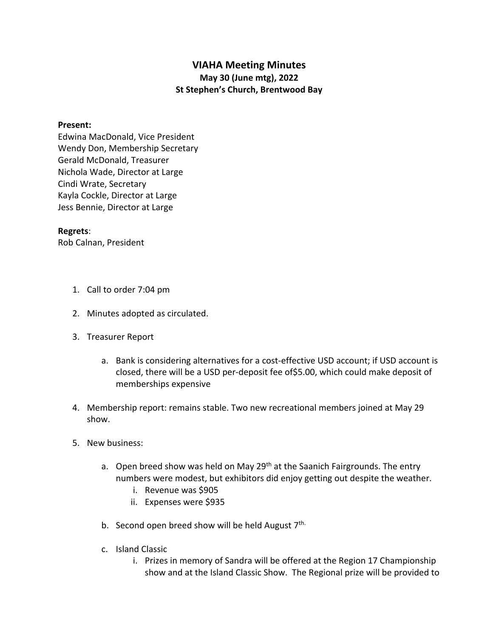## **VIAHA Meeting Minutes May 30 (June mtg), 2022 St Stephen's Church, Brentwood Bay**

## **Present:**

Edwina MacDonald, Vice President Wendy Don, Membership Secretary Gerald McDonald, Treasurer Nichola Wade, Director at Large Cindi Wrate, Secretary Kayla Cockle, Director at Large Jess Bennie, Director at Large

## **Regrets**:

Rob Calnan, President

- 1. Call to order 7:04 pm
- 2. Minutes adopted as circulated.
- 3. Treasurer Report
	- a. Bank is considering alternatives for a cost-effective USD account; if USD account is closed, there will be a USD per-deposit fee of\$5.00, which could make deposit of memberships expensive
- 4. Membership report: remains stable. Two new recreational members joined at May 29 show.
- 5. New business:
	- a. Open breed show was held on May 29<sup>th</sup> at the Saanich Fairgrounds. The entry numbers were modest, but exhibitors did enjoy getting out despite the weather.
		- i. Revenue was \$905
		- ii. Expenses were \$935
	- b. Second open breed show will be held August 7<sup>th.</sup>
	- c. Island Classic
		- i. Prizes in memory of Sandra will be offered at the Region 17 Championship show and at the Island Classic Show. The Regional prize will be provided to